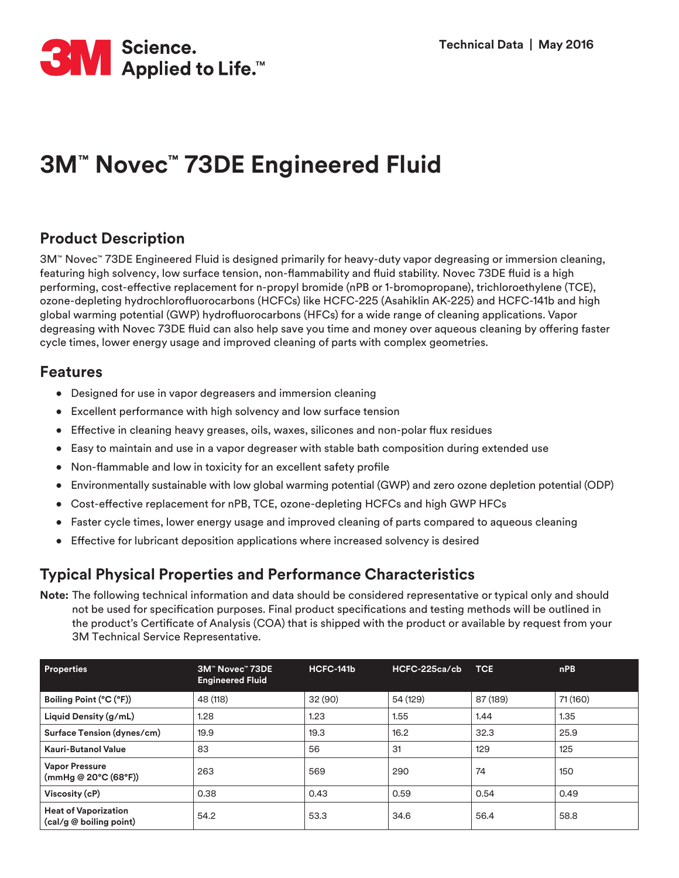

# **3M™ Novec™ 73DE Engineered Fluid**

#### **Product Description**

3M™ Novec™ 73DE Engineered Fluid is designed primarily for heavy-duty vapor degreasing or immersion cleaning, featuring high solvency, low surface tension, non-flammability and fluid stability. Novec 73DE fluid is a high performing, cost-effective replacement for n-propyl bromide (nPB or 1-bromopropane), trichloroethylene (TCE), ozone-depleting hydrochlorofluorocarbons (HCFCs) like HCFC-225 (Asahiklin AK-225) and HCFC-141b and high global warming potential (GWP) hydrofluorocarbons (HFCs) for a wide range of cleaning applications. Vapor degreasing with Novec 73DE fluid can also help save you time and money over aqueous cleaning by offering faster cycle times, lower energy usage and improved cleaning of parts with complex geometries.

#### **Features**

- Designed for use in vapor degreasers and immersion cleaning
- Excellent performance with high solvency and low surface tension
- Effective in cleaning heavy greases, oils, waxes, silicones and non-polar flux residues
- Easy to maintain and use in a vapor degreaser with stable bath composition during extended use
- Non-flammable and low in toxicity for an excellent safety profile
- Environmentally sustainable with low global warming potential (GWP) and zero ozone depletion potential (ODP)
- Cost-effective replacement for nPB, TCE, ozone-depleting HCFCs and high GWP HFCs
- Faster cycle times, lower energy usage and improved cleaning of parts compared to aqueous cleaning
- Effective for lubricant deposition applications where increased solvency is desired

#### **Typical Physical Properties and Performance Characteristics**

**Note:** The following technical information and data should be considered representative or typical only and should not be used for specification purposes. Final product specifications and testing methods will be outlined in the product's Certificate of Analysis (COA) that is shipped with the product or available by request from your 3M Technical Service Representative.

| <b>Properties</b>                                      | 3M™ Novec™ 73DE<br><b>Engineered Fluid</b> | HCFC-141b | HCFC-225ca/cb | <b>TCE</b> | nPB      |
|--------------------------------------------------------|--------------------------------------------|-----------|---------------|------------|----------|
| Boiling Point (°C (°F))                                | 48 (118)                                   | 32 (90)   | 54 (129)      | 87 (189)   | 71 (160) |
| Liquid Density (g/mL)                                  | 1.28                                       | 1.23      | 1.55          | 1.44       | 1.35     |
| Surface Tension (dynes/cm)                             | 19.9                                       | 19.3      | 16.2          | 32.3       | 25.9     |
| <b>Kauri-Butanol Value</b>                             | 83                                         | 56        | 31            | 129        | 125      |
| <b>Vapor Pressure</b><br>(mmHg @ 20°C (68°F))          | 263                                        | 569       | 290           | 74         | 150      |
| Viscosity (cP)                                         | 0.38                                       | 0.43      | 0.59          | 0.54       | 0.49     |
| <b>Heat of Vaporization</b><br>(cal/g @ boiling point) | 54.2                                       | 53.3      | 34.6          | 56.4       | 58.8     |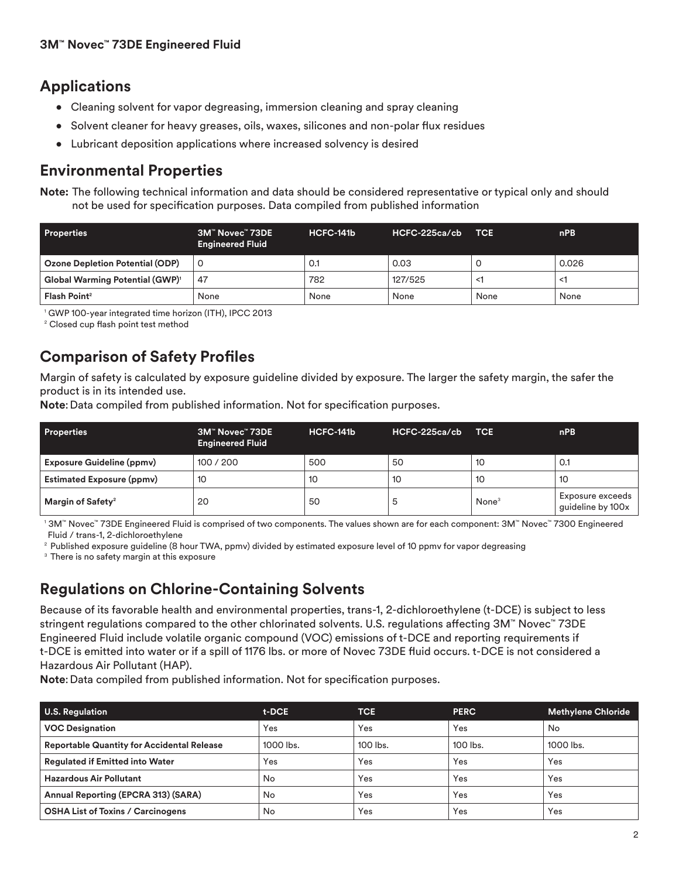## **Applications**

- Cleaning solvent for vapor degreasing, immersion cleaning and spray cleaning
- Solvent cleaner for heavy greases, oils, waxes, silicones and non-polar flux residues
- Lubricant deposition applications where increased solvency is desired

## **Environmental Properties**

**Note:** The following technical information and data should be considered representative or typical only and should not be used for specification purposes. Data compiled from published information

| <b>Properties</b>                                 | 3M™ Novec™ 73DE<br><b>Engineered Fluid</b> | HCFC-141b | HCFC-225ca/cb | <b>TCE</b> | nPB   |
|---------------------------------------------------|--------------------------------------------|-----------|---------------|------------|-------|
| Ozone Depletion Potential (ODP)                   | $\Omega$                                   | 0.1       | 0.03          |            | 0.026 |
| <b>Global Warming Potential (GWP)<sup>1</sup></b> | 47                                         | 782       | 127/525       | <1         | ≺1    |
| Flash Point <sup>2</sup>                          | None                                       | None      | None          | None       | None  |

<sup>1</sup> GWP 100-year integrated time horizon (ITH), IPCC 2013

<sup>2</sup> Closed cup flash point test method

## **Comparison of Safety Profiles**

Margin of safety is calculated by exposure guideline divided by exposure. The larger the safety margin, the safer the product is in its intended use.

**Note:** Data compiled from published information. Not for specification purposes.

| <b>Properties</b>                | 3M™ Novec™ 73DE<br><b>Engineered Fluid</b> | HCFC-141b | HCFC-225ca/cb | <b>TCE</b>        | <sub>nPB</sub>                        |
|----------------------------------|--------------------------------------------|-----------|---------------|-------------------|---------------------------------------|
| <b>Exposure Guideline (ppmv)</b> | 100 / 200                                  | 500       | 50            | 10                | 0.1                                   |
| <b>Estimated Exposure (ppmv)</b> | 10                                         | 10        | 10            | 10                | 10                                    |
| Margin of Safety <sup>2</sup>    | 20                                         | 50        | ა             | None <sup>3</sup> | Exposure exceeds<br>guideline by 100x |

<sup>1</sup>3M™ Novec™ 73DE Engineered Fluid is comprised of two components. The values shown are for each component: 3M™ Novec™ 7300 Engineered Fluid / trans-1, 2-dichloroethylene

<sup>2</sup> Published exposure guideline (8 hour TWA, ppmv) divided by estimated exposure level of 10 ppmv for vapor degreasing

<sup>3</sup> There is no safety margin at this exposure

## **Regulations on Chlorine-Containing Solvents**

Because of its favorable health and environmental properties, trans-1, 2-dichloroethylene (t-DCE) is subject to less stringent regulations compared to the other chlorinated solvents. U.S. regulations affecting 3M™ Novec™ 73DE Engineered Fluid include volatile organic compound (VOC) emissions of t-DCE and reporting requirements if t-DCE is emitted into water or if a spill of 1176 lbs. or more of Novec 73DE fluid occurs. t-DCE is not considered a Hazardous Air Pollutant (HAP).

**Note**:Data compiled from published information. Not for specification purposes.

| <b>U.S. Regulation</b>                            | t-DCE     | <b>TCE</b> | <b>PERC</b> | <b>Methylene Chloride</b> |
|---------------------------------------------------|-----------|------------|-------------|---------------------------|
| <b>VOC Designation</b>                            | Yes       | Yes        | Yes         | No                        |
| <b>Reportable Quantity for Accidental Release</b> | 1000 lbs. | $100$ lbs. | $100$ lbs.  | 1000 lbs.                 |
| <b>Regulated if Emitted into Water</b>            | Yes       | Yes        | Yes         | Yes                       |
| <b>Hazardous Air Pollutant</b>                    | No        | Yes        | Yes         | Yes                       |
| Annual Reporting (EPCRA 313) (SARA)               | No        | Yes        | Yes         | Yes                       |
| <b>OSHA List of Toxins / Carcinogens</b>          | No        | Yes        | Yes         | Yes                       |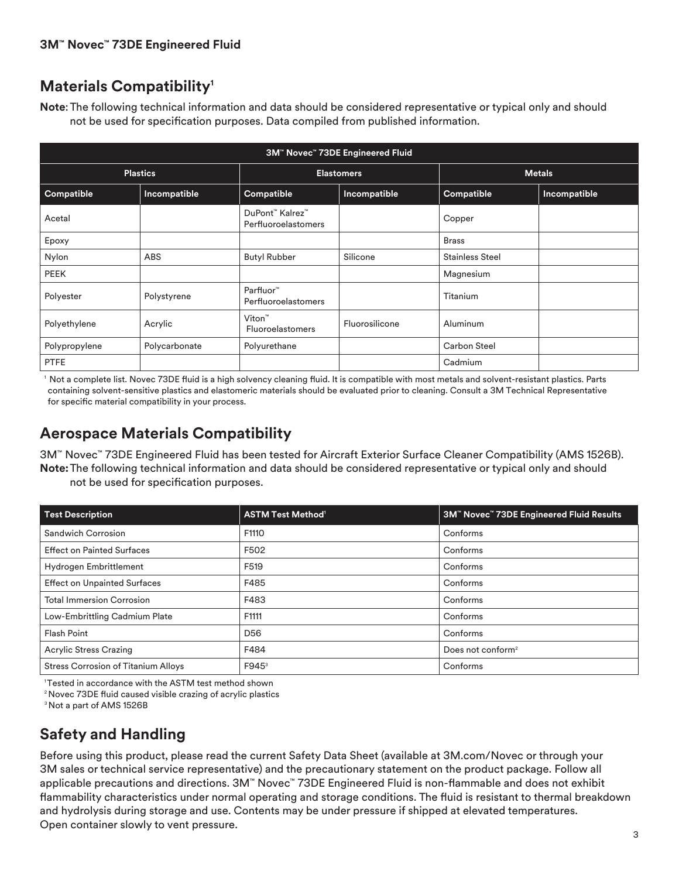## **Materials Compatibility1**

**Note**:The following technical information and data should be considered representative or typical only and should not be used for specification purposes. Data compiled from published information.

| 3M" Novec" 73DE Engineered Fluid |               |                                               |                |                        |              |
|----------------------------------|---------------|-----------------------------------------------|----------------|------------------------|--------------|
| <b>Plastics</b>                  |               | <b>Elastomers</b>                             |                | <b>Metals</b>          |              |
| Compatible                       | Incompatible  | Compatible                                    | Incompatible   | Compatible             | Incompatible |
| Acetal                           |               | DuPont™ Kalrez™<br><b>Perfluoroelastomers</b> |                | Copper                 |              |
| Epoxy                            |               |                                               |                | <b>Brass</b>           |              |
| Nylon                            | <b>ABS</b>    | <b>Butyl Rubber</b>                           | Silicone       | <b>Stainless Steel</b> |              |
| <b>PEEK</b>                      |               |                                               |                | Magnesium              |              |
| Polyester                        | Polystyrene   | Parfluor™<br><b>Perfluoroelastomers</b>       |                | Titanium               |              |
| Polyethylene                     | Acrylic       | Viton™<br><b>Fluoroelastomers</b>             | Fluorosilicone | Aluminum               |              |
| Polypropylene                    | Polycarbonate | Polyurethane                                  |                | Carbon Steel           |              |
| <b>PTFE</b>                      |               |                                               |                | Cadmium                |              |

1 Not a complete list. Novec 73DE fluid is a high solvency cleaning fluid. It is compatible with most metals and solvent-resistant plastics. Parts containing solvent-sensitive plastics and elastomeric materials should be evaluated prior to cleaning. Consult a 3M Technical Representative for specific material compatibility in your process.

## **Aerospace Materials Compatibility**

3M™ Novec™ 73DE Engineered Fluid has been tested for Aircraft Exterior Surface Cleaner Compatibility (AMS 1526B). **Note:**The following technical information and data should be considered representative or typical only and should not be used for specification purposes.

| <b>Test Description</b>                    | <b>ASTM Test Method<sup>1</sup></b> | 3M™ Novec™ 73DE Engineered Fluid Results |
|--------------------------------------------|-------------------------------------|------------------------------------------|
| Sandwich Corrosion                         | F1110                               | Conforms                                 |
| <b>Effect on Painted Surfaces</b>          | F502                                | Conforms                                 |
| Hydrogen Embrittlement                     | F519                                | Conforms                                 |
| <b>Effect on Unpainted Surfaces</b>        | F485                                | Conforms                                 |
| <b>Total Immersion Corrosion</b>           | F483                                | Conforms                                 |
| Low-Embrittling Cadmium Plate              | F1111                               | Conforms                                 |
| <b>Flash Point</b>                         | D <sub>56</sub>                     | Conforms                                 |
| <b>Acrylic Stress Crazing</b>              | F484                                | Does not conform <sup>2</sup>            |
| <b>Stress Corrosion of Titanium Alloys</b> | F945 <sup>3</sup>                   | Conforms                                 |

<sup>1</sup> Tested in accordance with the ASTM test method shown

2 Novec 73DE fluid caused visible crazing of acrylic plastics

<sup>3</sup> Not a part of AMS 1526B

## **Safety and Handling**

Before using this product, please read the current Safety Data Sheet (available at 3M.com/Novec or through your 3M sales or technical service representative) and the precautionary statement on the product package. Follow all applicable precautions and directions. 3M™ Novec™ 73DE Engineered Fluid is non-flammable and does not exhibit flammability characteristics under normal operating and storage conditions. The fluid is resistant to thermal breakdown and hydrolysis during storage and use. Contents may be under pressure if shipped at elevated temperatures. Open container slowly to vent pressure.